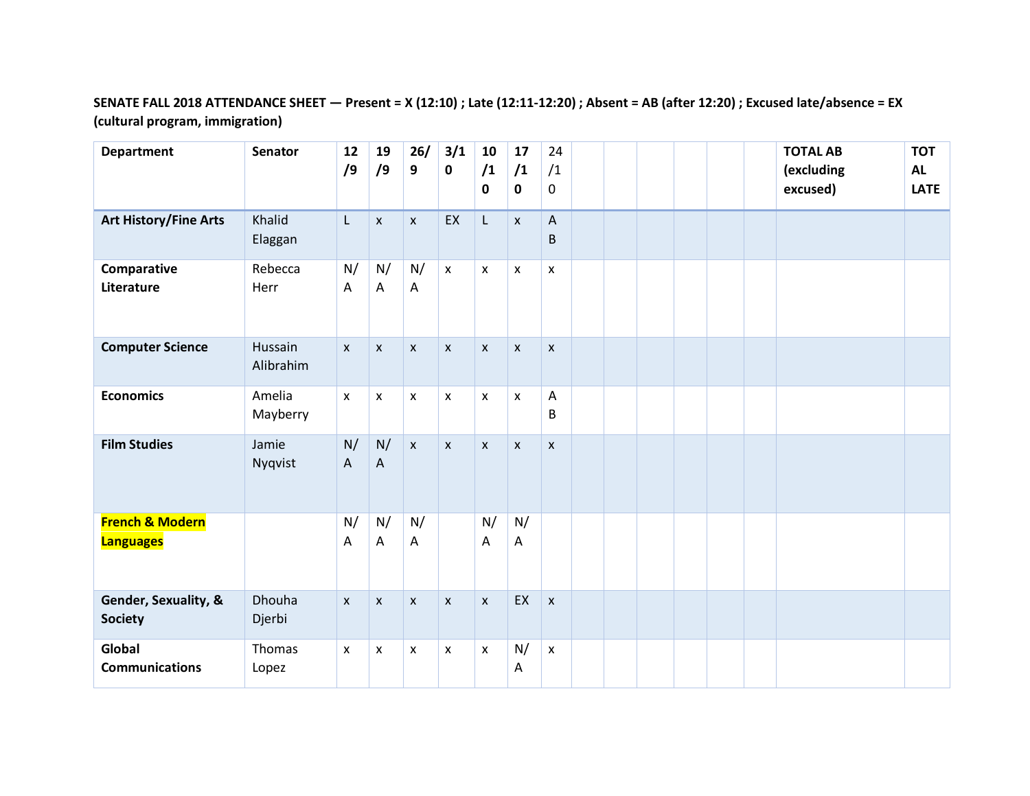### **SENATE FALL 2018 ATTENDANCE SHEET — Present = X (12:10) ; Late (12:11-12:20) ; Absent = AB (after 12:20) ; Excused late/absence = EX (cultural program, immigration)**

| <b>Department</b>                              | <b>Senator</b>       | 12<br>/9                        | 19<br>/9           | 26/<br>9           | 3/1<br>$\pmb{0}$   | 10<br>/1<br>$\mathbf 0$   | 17<br>/1<br>$\mathbf 0$ | 24<br>/1<br>$\mathbf 0$   |  |  |  | <b>TOTAL AB</b><br>(excluding<br>excused) | <b>TOT</b><br><b>AL</b><br><b>LATE</b> |
|------------------------------------------------|----------------------|---------------------------------|--------------------|--------------------|--------------------|---------------------------|-------------------------|---------------------------|--|--|--|-------------------------------------------|----------------------------------------|
| <b>Art History/Fine Arts</b>                   | Khalid<br>Elaggan    | L                               | $\pmb{\mathsf{x}}$ | $\mathsf{x}$       | EX                 | L                         | $\pmb{\mathsf{X}}$      | A<br>B                    |  |  |  |                                           |                                        |
| Comparative<br>Literature                      | Rebecca<br>Herr      | N/<br>$\overline{A}$            | N/<br>A            | N/<br>A            | $\pmb{\mathsf{X}}$ | $\boldsymbol{\mathsf{x}}$ | $\mathsf{x}$            | $\mathsf{X}$              |  |  |  |                                           |                                        |
| <b>Computer Science</b>                        | Hussain<br>Alibrahim | $\pmb{\mathsf{x}}$              | $\pmb{\mathsf{X}}$ | $\pmb{\mathsf{x}}$ | $\pmb{\mathsf{x}}$ | $\pmb{\mathsf{x}}$        | $\pmb{\mathsf{X}}$      | X                         |  |  |  |                                           |                                        |
| <b>Economics</b>                               | Amelia<br>Mayberry   | $\pmb{\mathsf{x}}$              | $\pmb{\mathsf{X}}$ | $\mathsf X$        | $\pmb{\mathsf{x}}$ | $\pmb{\mathsf{X}}$        | $\pmb{\mathsf{x}}$      | A<br>B                    |  |  |  |                                           |                                        |
| <b>Film Studies</b>                            | Jamie<br>Nyqvist     | N/<br>$\boldsymbol{\mathsf{A}}$ | N/<br>$\mathsf{A}$ | $\mathsf{X}$       | $\mathsf{x}$       | $\pmb{\chi}$              | $\mathsf X$             | $\boldsymbol{\mathsf{X}}$ |  |  |  |                                           |                                        |
| <b>French &amp; Modern</b><br><b>Languages</b> |                      | N/<br>Α                         | N/<br>A            | N/<br>A            |                    | N/<br>Α                   | N/<br>A                 |                           |  |  |  |                                           |                                        |
| Gender, Sexuality, &<br><b>Society</b>         | Dhouha<br>Djerbi     | $\pmb{\chi}$                    | $\pmb{\times}$     | $\pmb{\mathsf{x}}$ | $\pmb{\mathsf{X}}$ | $\pmb{\mathsf{x}}$        | EX                      | $\pmb{\times}$            |  |  |  |                                           |                                        |
| Global<br><b>Communications</b>                | Thomas<br>Lopez      | $\pmb{\chi}$                    | X                  | $\pmb{\mathsf{X}}$ | X                  | $\pmb{\mathsf{X}}$        | N/<br>Α                 | $\pmb{\mathsf{X}}$        |  |  |  |                                           |                                        |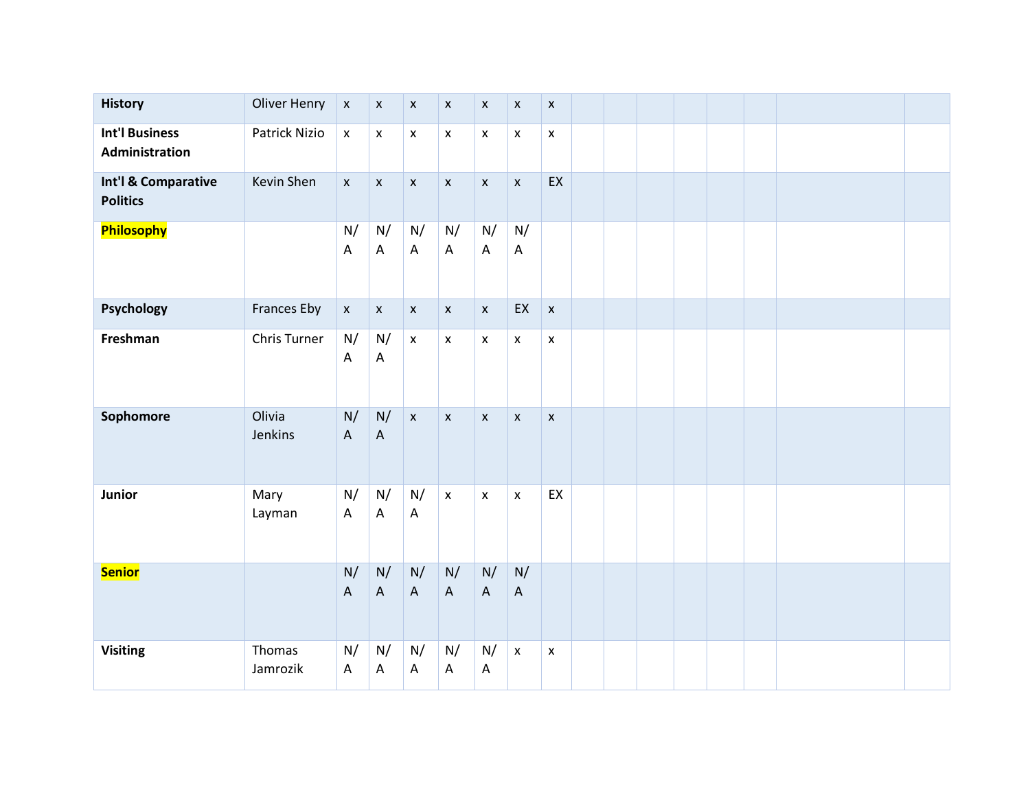| <b>History</b>                          | <b>Oliver Henry</b> | $\pmb{\mathsf{x}}$              | $\pmb{\mathsf{X}}$              | $\pmb{\mathsf{x}}$ | $\pmb{\mathsf{X}}$ | $\pmb{\mathsf{X}}$              | $\pmb{\mathsf{x}}$              | $\pmb{\mathsf{X}}$ |  |  |  |  |
|-----------------------------------------|---------------------|---------------------------------|---------------------------------|--------------------|--------------------|---------------------------------|---------------------------------|--------------------|--|--|--|--|
| <b>Int'l Business</b><br>Administration | Patrick Nizio       | $\pmb{\mathsf{x}}$              | $\pmb{\mathsf{X}}$              | $\pmb{\mathsf{X}}$ | $\pmb{\mathsf{X}}$ | $\pmb{\mathsf{x}}$              | $\pmb{\mathsf{x}}$              | $\pmb{\mathsf{x}}$ |  |  |  |  |
| Int'l & Comparative<br><b>Politics</b>  | Kevin Shen          | $\pmb{\mathsf{x}}$              | $\pmb{\mathsf{X}}$              | $\pmb{\mathsf{x}}$ | $\pmb{\mathsf{x}}$ | $\pmb{\mathsf{x}}$              | $\pmb{\mathsf{x}}$              | EX                 |  |  |  |  |
| Philosophy                              |                     | N/<br>Α                         | N/<br>A                         | N/<br>A            | N/<br>A            | N/<br>A                         | N/<br>$\boldsymbol{\mathsf{A}}$ |                    |  |  |  |  |
| Psychology                              | <b>Frances Eby</b>  | $\pmb{\mathsf{x}}$              | $\boldsymbol{\mathsf{X}}$       | $\pmb{\mathsf{x}}$ | $\mathsf X$        | $\pmb{\mathsf{x}}$              | EX                              | $\pmb{\mathsf{X}}$ |  |  |  |  |
| Freshman                                | Chris Turner        | N/<br>A                         | N/<br>A                         | $\pmb{\mathsf{x}}$ | $\pmb{\mathsf{x}}$ | $\pmb{\mathsf{x}}$              | $\pmb{\chi}$                    | $\pmb{\mathsf{x}}$ |  |  |  |  |
| Sophomore                               | Olivia<br>Jenkins   | N/<br>$\boldsymbol{\mathsf{A}}$ | N/<br>$\boldsymbol{\mathsf{A}}$ | $\pmb{\mathsf{x}}$ | $\pmb{\mathsf{x}}$ | $\pmb{\mathsf{x}}$              | $\pmb{\chi}$                    | $\pmb{\mathsf{X}}$ |  |  |  |  |
| Junior                                  | Mary<br>Layman      | N/<br>A                         | N/<br>A                         | N/<br>A            | $\pmb{\mathsf{x}}$ | $\pmb{\mathsf{x}}$              | $\pmb{\chi}$                    | EX                 |  |  |  |  |
| <b>Senior</b>                           |                     | N/<br>$\boldsymbol{\mathsf{A}}$ | N/<br>$\boldsymbol{\mathsf{A}}$ | N/<br>$\mathsf A$  | N/<br>$\mathsf A$  | N/<br>$\boldsymbol{\mathsf{A}}$ | N/<br>$\boldsymbol{\mathsf{A}}$ |                    |  |  |  |  |
| <b>Visiting</b>                         | Thomas<br>Jamrozik  | N/<br>A                         | N/<br>A                         | N/<br>A            | N/<br>A            | N/<br>$\boldsymbol{\mathsf{A}}$ | $\boldsymbol{\mathsf{X}}$       | $\pmb{\mathsf{x}}$ |  |  |  |  |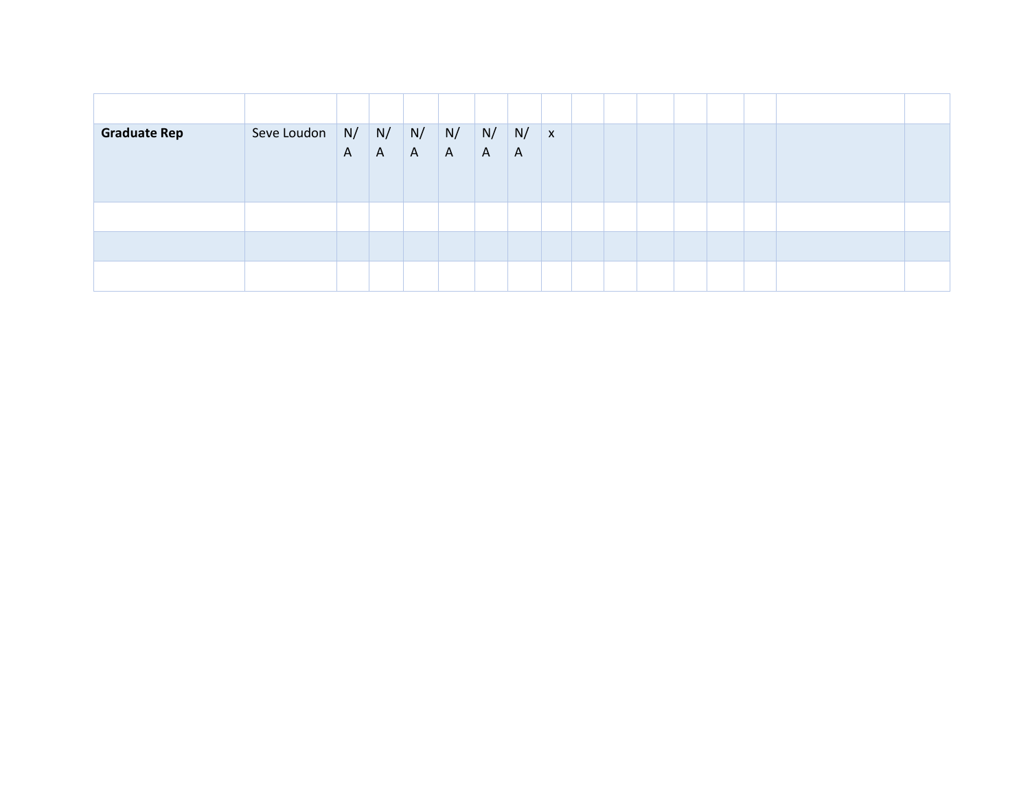| <b>Graduate Rep</b> | Seve Loudon | N/<br>$\mathsf{A}$ | N/<br>$\mathsf{A}$ | N/<br>$\mathsf{A}$ | $\mid N/$<br>$\mathsf{A}$ | N/<br>$\mathsf{A}$ | $\mid N/$<br>$\mathsf{A}$ | $\mathbf{x}$ |  |  |  |  |
|---------------------|-------------|--------------------|--------------------|--------------------|---------------------------|--------------------|---------------------------|--------------|--|--|--|--|
|                     |             |                    |                    |                    |                           |                    |                           |              |  |  |  |  |
|                     |             |                    |                    |                    |                           |                    |                           |              |  |  |  |  |
|                     |             |                    |                    |                    |                           |                    |                           |              |  |  |  |  |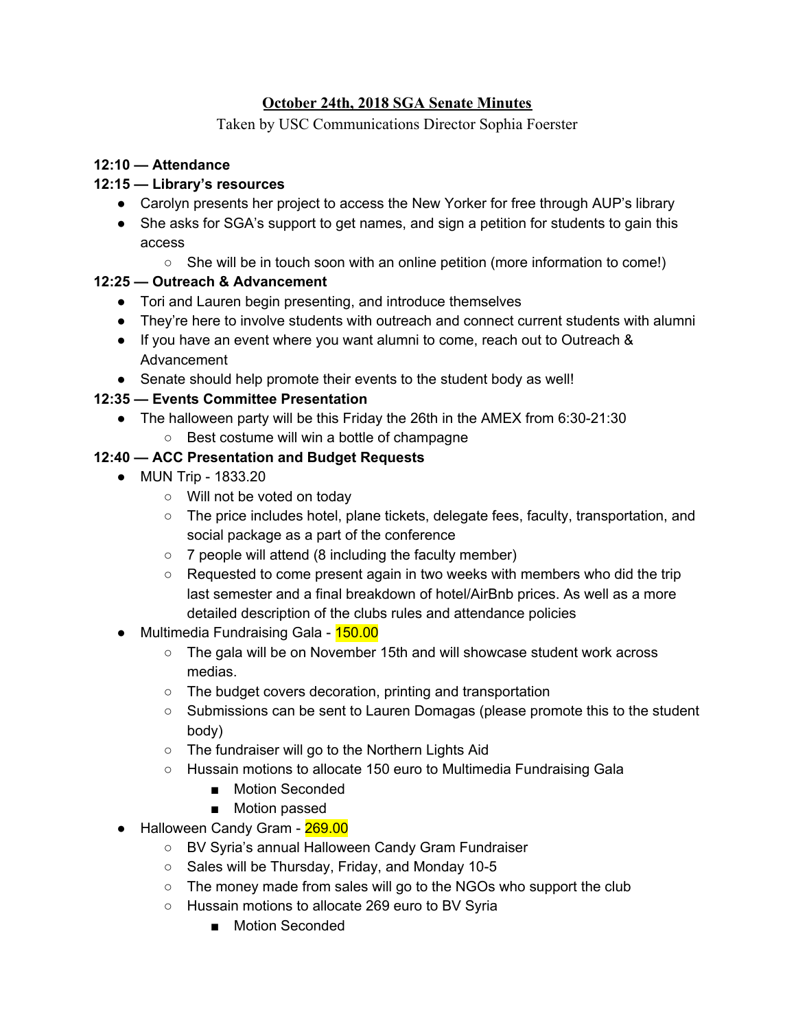### **October 24th, 2018 SGA Senate Minutes**

Taken by USC Communications Director Sophia Foerster

#### **12:10 — Attendance**

#### **12:15 — Library's resources**

- Carolyn presents her project to access the New Yorker for free through AUP's library
- She asks for SGA's support to get names, and sign a petition for students to gain this access
	- She will be in touch soon with an online petition (more information to come!)

#### **12:25 — Outreach & Advancement**

- Tori and Lauren begin presenting, and introduce themselves
- They're here to involve students with outreach and connect current students with alumni
- If you have an event where you want alumni to come, reach out to Outreach & Advancement
- Senate should help promote their events to the student body as well!

#### **12:35 — Events Committee Presentation**

- The halloween party will be this Friday the 26th in the AMEX from 6:30-21:30
	- Best costume will win a bottle of champagne

#### **12:40 — ACC Presentation and Budget Requests**

- MUN Trip 1833.20
	- Will not be voted on today
	- The price includes hotel, plane tickets, delegate fees, faculty, transportation, and social package as a part of the conference
	- 7 people will attend (8 including the faculty member)
	- $\circ$  Requested to come present again in two weeks with members who did the trip last semester and a final breakdown of hotel/AirBnb prices. As well as a more detailed description of the clubs rules and attendance policies
- Multimedia Fundraising Gala 150.00
	- The gala will be on November 15th and will showcase student work across medias.
	- The budget covers decoration, printing and transportation
	- Submissions can be sent to Lauren Domagas (please promote this to the student body)
	- The fundraiser will go to the Northern Lights Aid
	- Hussain motions to allocate 150 euro to Multimedia Fundraising Gala
		- Motion Seconded
		- Motion passed
- Halloween Candy Gram 269.00
	- BV Syria's annual Halloween Candy Gram Fundraiser
	- Sales will be Thursday, Friday, and Monday 10-5
	- The money made from sales will go to the NGOs who support the club
	- Hussain motions to allocate 269 euro to BV Syria
		- Motion Seconded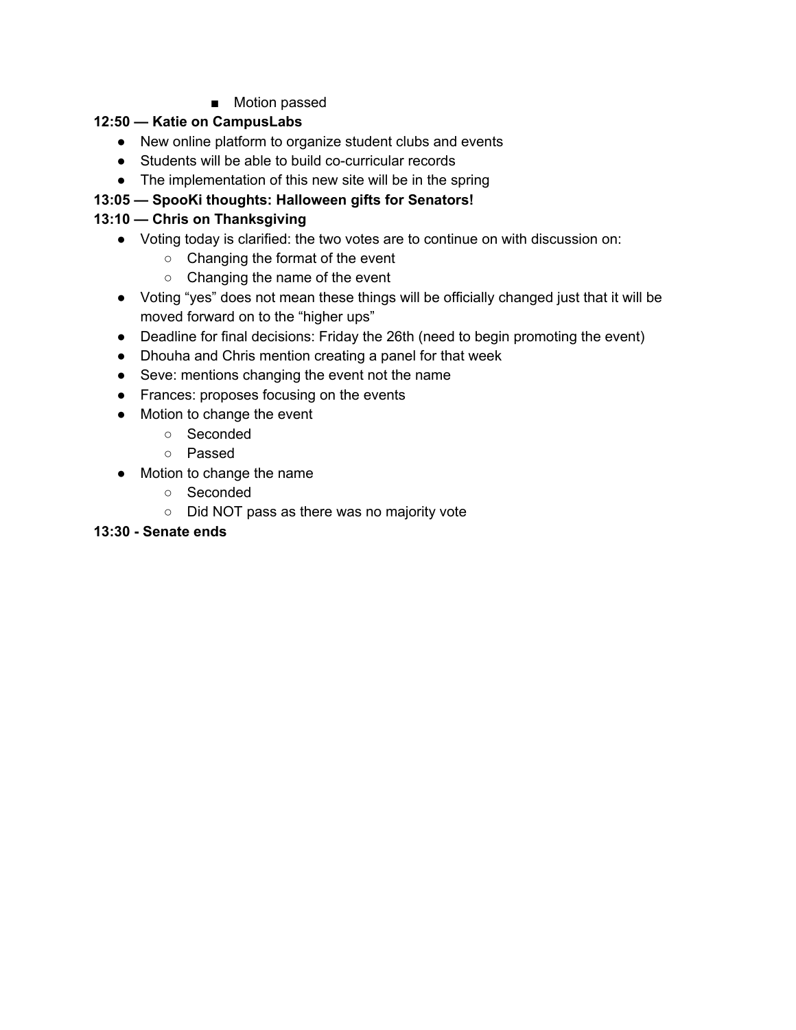■ Motion passed

# **12:50 — Katie on CampusLabs**

- New online platform to organize student clubs and events
- Students will be able to build co-curricular records
- The implementation of this new site will be in the spring

# **13:05 — SpooKi thoughts: Halloween gifts for Senators!**

# **13:10 — Chris on Thanksgiving**

- Voting today is clarified: the two votes are to continue on with discussion on:
	- Changing the format of the event
	- Changing the name of the event
- Voting "yes" does not mean these things will be officially changed just that it will be moved forward on to the "higher ups"
- Deadline for final decisions: Friday the 26th (need to begin promoting the event)
- Dhouha and Chris mention creating a panel for that week
- Seve: mentions changing the event not the name
- Frances: proposes focusing on the events
- Motion to change the event
	- Seconded
	- Passed
- Motion to change the name
	- Seconded
	- Did NOT pass as there was no majority vote

## **13:30 - Senate ends**